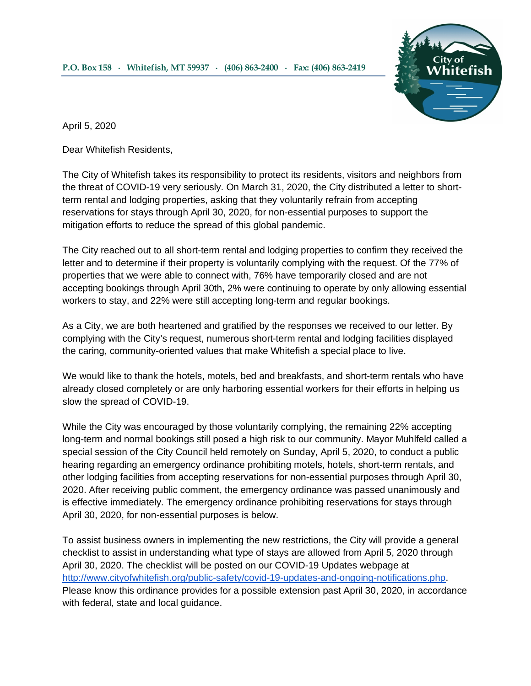

April 5, 2020

Dear Whitefish Residents,

The City of Whitefish takes its responsibility to protect its residents, visitors and neighbors from the threat of COVID-19 very seriously. On March 31, 2020, the City distributed a letter to shortterm rental and lodging properties, asking that they voluntarily refrain from accepting reservations for stays through April 30, 2020, for non-essential purposes to support the mitigation efforts to reduce the spread of this global pandemic.

The City reached out to all short-term rental and lodging properties to confirm they received the letter and to determine if their property is voluntarily complying with the request. Of the 77% of properties that we were able to connect with, 76% have temporarily closed and are not accepting bookings through April 30th, 2% were continuing to operate by only allowing essential workers to stay, and 22% were still accepting long-term and regular bookings.

As a City, we are both heartened and gratified by the responses we received to our letter. By complying with the City's request, numerous short-term rental and lodging facilities displayed the caring, community-oriented values that make Whitefish a special place to live.

We would like to thank the hotels, motels, bed and breakfasts, and short-term rentals who have already closed completely or are only harboring essential workers for their efforts in helping us slow the spread of COVID-19.

While the City was encouraged by those voluntarily complying, the remaining 22% accepting long-term and normal bookings still posed a high risk to our community. Mayor Muhlfeld called a special session of the City Council held remotely on Sunday, April 5, 2020, to conduct a public hearing regarding an emergency ordinance prohibiting motels, hotels, short-term rentals, and other lodging facilities from accepting reservations for non-essential purposes through April 30, 2020. After receiving public comment, the emergency ordinance was passed unanimously and is effective immediately. The emergency ordinance prohibiting reservations for stays through April 30, 2020, for non-essential purposes is below.

To assist business owners in implementing the new restrictions, the City will provide a general checklist to assist in understanding what type of stays are allowed from April 5, 2020 through April 30, 2020. The checklist will be posted on our COVID-19 Updates webpage at [http://www.cityofwhitefish.org/public-safety/covid-19-updates-and-ongoing-notifications.php.](http://www.cityofwhitefish.org/public-safety/covid-19-updates-and-ongoing-notifications.php) Please know this ordinance provides for a possible extension past April 30, 2020, in accordance with federal, state and local guidance.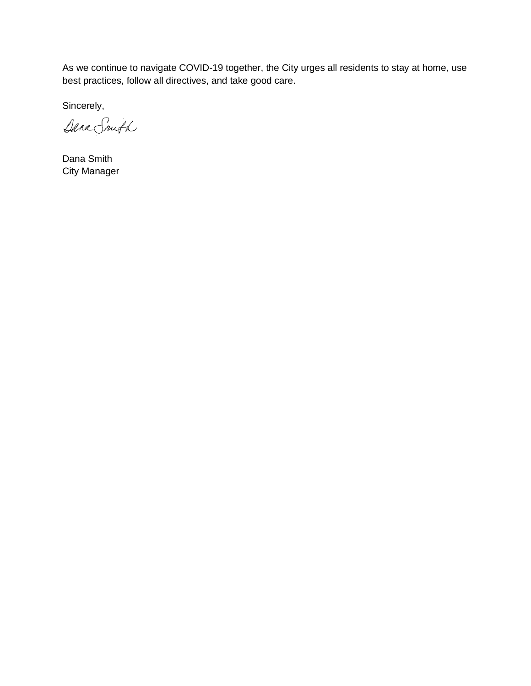As we continue to navigate COVID-19 together, the City urges all residents to stay at home, use best practices, follow all directives, and take good care.

Sincerely,

Dana Snuth

Dana Smith City Manager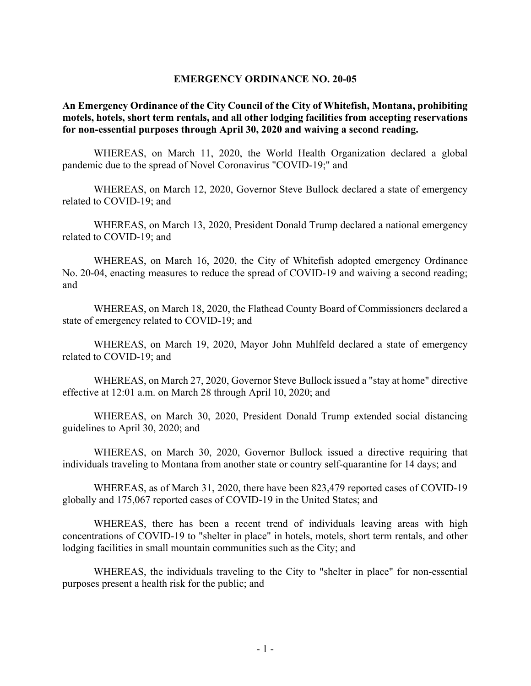## EMERGENCY ORDINANCE NO. 20-05

## An Emergency Ordinance of the City Council of the City of Whitefish, Montana, prohibiting motels, hotels, short term rentals, and all other lodging facilities from accepting reservations for non-essential purposes through April 30, 2020 and waiving a second reading.

WHEREAS, on March 11, 2020, the World Health Organization declared a global pandemic due to the spread of Novel Coronavirus "COVID-19;" and

WHEREAS, on March 12, 2020, Governor Steve Bullock declared a state of emergency related to COVID-19; and

WHEREAS, on March 13, 2020, President Donald Trump declared a national emergency related to COVID-19; and

WHEREAS, on March 16, 2020, the City of Whitefish adopted emergency Ordinance No. 20-04, enacting measures to reduce the spread of COVID-19 and waiving a second reading; and

WHEREAS, on March 18, 2020, the Flathead County Board of Commissioners declared a state of emergency related to COVID-19; and

WHEREAS, on March 19, 2020, Mayor John Muhlfeld declared a state of emergency related to COVID-19; and

WHEREAS, on March 27, 2020, Governor Steve Bullock issued a "stay at home" directive effective at 12:01 a.m. on March 28 through April 10, 2020; and

WHEREAS, on March 30, 2020, President Donald Trump extended social distancing guidelines to April 30, 2020; and

WHEREAS, on March 30, 2020, Governor Bullock issued a directive requiring that individuals traveling to Montana from another state or country self-quarantine for 14 days; and

WHEREAS, as of March 31, 2020, there have been 823,479 reported cases of COVID-19 globally and 175,067 reported cases of COVID-19 in the United States; and

WHEREAS, there has been a recent trend of individuals leaving areas with high concentrations of COVID-19 to "shelter in place" in hotels, motels, short term rentals, and other lodging facilities in small mountain communities such as the City; and

WHEREAS, the individuals traveling to the City to "shelter in place" for non-essential purposes present a health risk for the public; and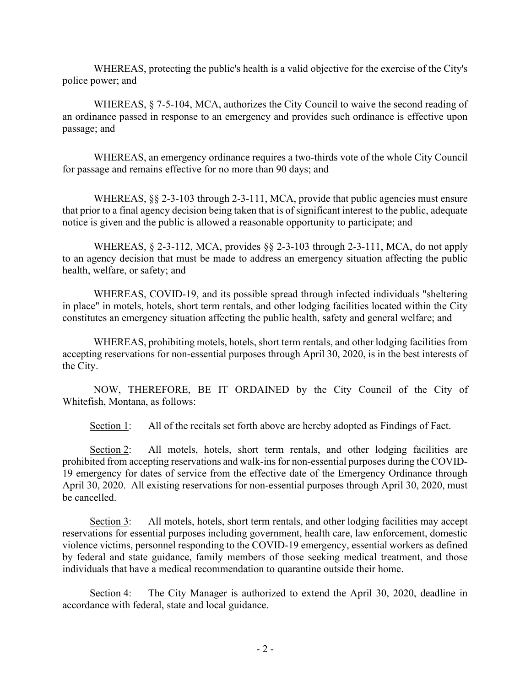WHEREAS, protecting the public's health is a valid objective for the exercise of the City's police power; and

WHEREAS, § 7-5-104, MCA, authorizes the City Council to waive the second reading of an ordinance passed in response to an emergency and provides such ordinance is effective upon passage; and

WHEREAS, an emergency ordinance requires a two-thirds vote of the whole City Council for passage and remains effective for no more than 90 days; and

WHEREAS, §§ 2-3-103 through 2-3-111, MCA, provide that public agencies must ensure that prior to a final agency decision being taken that is of significant interest to the public, adequate notice is given and the public is allowed a reasonable opportunity to participate; and

WHEREAS, § 2-3-112, MCA, provides §§ 2-3-103 through 2-3-111, MCA, do not apply to an agency decision that must be made to address an emergency situation affecting the public health, welfare, or safety; and

WHEREAS, COVID-19, and its possible spread through infected individuals "sheltering in place" in motels, hotels, short term rentals, and other lodging facilities located within the City constitutes an emergency situation affecting the public health, safety and general welfare; and

WHEREAS, prohibiting motels, hotels, short term rentals, and other lodging facilities from accepting reservations for non-essential purposes through April 30, 2020, is in the best interests of the City.

NOW, THEREFORE, BE IT ORDAINED by the City Council of the City of Whitefish, Montana, as follows:

Section 1: All of the recitals set forth above are hereby adopted as Findings of Fact.

Section 2: All motels, hotels, short term rentals, and other lodging facilities are prohibited from accepting reservations and walk-ins for non-essential purposes during the COVID-19 emergency for dates of service from the effective date of the Emergency Ordinance through April 30, 2020. All existing reservations for non-essential purposes through April 30, 2020, must be cancelled.

Section 3: All motels, hotels, short term rentals, and other lodging facilities may accept reservations for essential purposes including government, health care, law enforcement, domestic violence victims, personnel responding to the COVID-19 emergency, essential workers as defined by federal and state guidance, family members of those seeking medical treatment, and those individuals that have a medical recommendation to quarantine outside their home.

Section 4: The City Manager is authorized to extend the April 30, 2020, deadline in accordance with federal, state and local guidance.